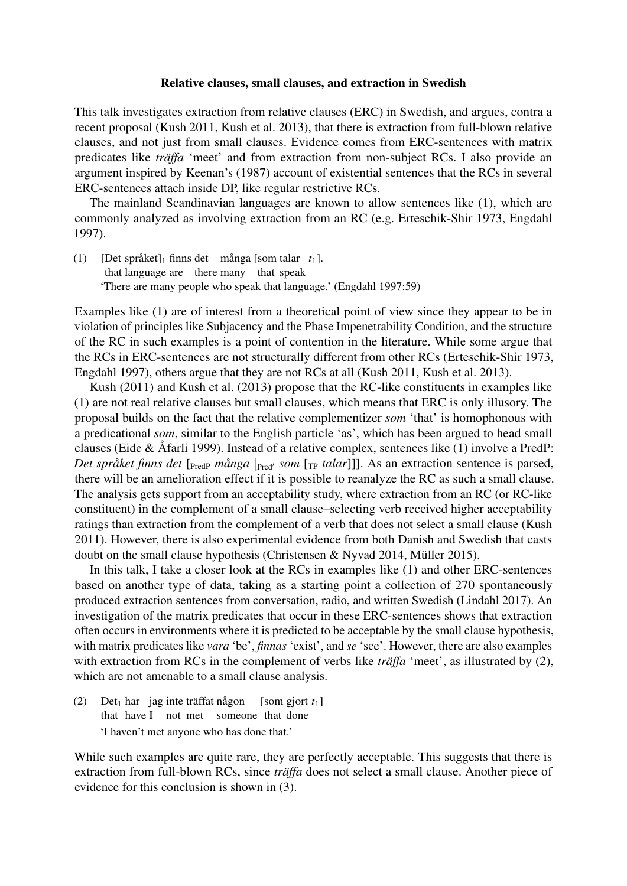## Relative clauses, small clauses, and extraction in Swedish

This talk investigates extraction from relative clauses (ERC) in Swedish, and argues, contra a recent proposal (Kush 2011, Kush et al. 2013), that there is extraction from full-blown relative clauses, and not just from small clauses. Evidence comes from ERC-sentences with matrix predicates like *träffa* 'meet' and from extraction from non-subject RCs. I also provide an argument inspired by Keenan's (1987) account of existential sentences that the RCs in several ERC-sentences attach inside DP, like regular restrictive RCs.

The mainland Scandinavian languages are known to allow sentences like (1), which are commonly analyzed as involving extraction from an RC (e.g. Erteschik-Shir 1973, Engdahl 1997).

(1) [Det språket]<sup>1</sup> finns det många [som talar *t*1]. that language are there many that speak 'There are many people who speak that language.' (Engdahl 1997:59)

Examples like (1) are of interest from a theoretical point of view since they appear to be in violation of principles like Subjacency and the Phase Impenetrability Condition, and the structure of the RC in such examples is a point of contention in the literature. While some argue that the RCs in ERC-sentences are not structurally different from other RCs (Erteschik-Shir 1973, Engdahl 1997), others argue that they are not RCs at all (Kush 2011, Kush et al. 2013).

Kush (2011) and Kush et al. (2013) propose that the RC-like constituents in examples like (1) are not real relative clauses but small clauses, which means that ERC is only illusory. The proposal builds on the fact that the relative complementizer *som* 'that' is homophonous with a predicational *som*, similar to the English particle 'as', which has been argued to head small clauses (Eide & Åfarli 1999). Instead of a relative complex, sentences like (1) involve a PredP: *Det språket finns det* [<sub>PredP</sub> *många* [<sub>Pred'</sub> *som* [<sub>TP</sub> *talar*]]]. As an extraction sentence is parsed, there will be an amelioration effect if it is possible to reanalyze the RC as such a small clause. The analysis gets support from an acceptability study, where extraction from an RC (or RC-like constituent) in the complement of a small clause–selecting verb received higher acceptability ratings than extraction from the complement of a verb that does not select a small clause (Kush 2011). However, there is also experimental evidence from both Danish and Swedish that casts doubt on the small clause hypothesis (Christensen & Nyvad 2014, Müller 2015).

In this talk, I take a closer look at the RCs in examples like (1) and other ERC-sentences based on another type of data, taking as a starting point a collection of 270 spontaneously produced extraction sentences from conversation, radio, and written Swedish (Lindahl 2017). An investigation of the matrix predicates that occur in these ERC-sentences shows that extraction often occurs in environments where it is predicted to be acceptable by the small clause hypothesis, with matrix predicates like *vara* 'be', *finnas* 'exist', and *se* 'see'. However, there are also examples with extraction from RCs in the complement of verbs like *träffa* 'meet', as illustrated by (2), which are not amenable to a small clause analysis.

 $(2)$  Det<sub>1</sub> har jag inte träffat någon that have I not met someone that done [som gjort *t*1] 'I haven't met anyone who has done that.'

While such examples are quite rare, they are perfectly acceptable. This suggests that there is extraction from full-blown RCs, since *träffa* does not select a small clause. Another piece of evidence for this conclusion is shown in (3).